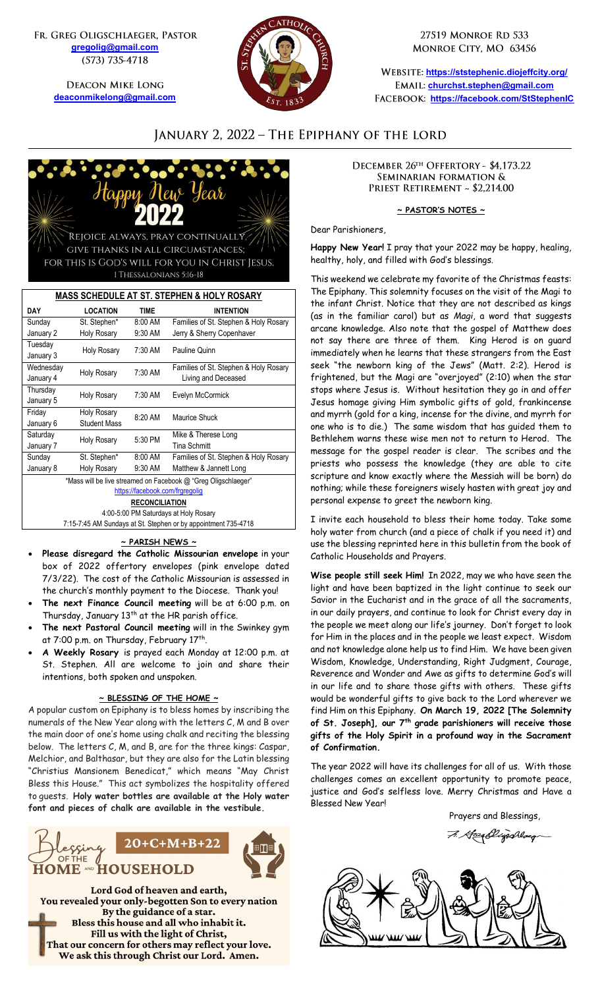FR. GREG OLIGSCHLAEGER, PASTOR **[gregolig@gmail.com](mailto:gregolig@gmail.com)** (573) 735-4718

> **DEACON MIKE LONG [deaconmikelong@gmail.com](mailto:deaconmikelong@gmail.com)**



27519 MONROE RD 533 MONROE CITY, MO 63456

**<https://ststephenic.diojeffcity.org/> [churchst.stephen@gmail.com](mailto:churchst.stephen@gmail.com) <https://facebook.com/StStephenIC>**

# JANUARY 2, 2022 - THE EPIPHANY OF THE LORD



| <b>MASS SCHEDULE AT ST. STEPHEN &amp; HOLY ROSARY</b>          |                               |             |                                       |  |
|----------------------------------------------------------------|-------------------------------|-------------|---------------------------------------|--|
| DAY                                                            | <b>LOCATION</b>               | <b>TIME</b> | <b>INTENTION</b>                      |  |
| Sunday                                                         | St. Stephen*                  | 8:00 AM     | Families of St. Stephen & Holy Rosary |  |
| January 2                                                      | <b>Holy Rosary</b>            | 9:30 AM     | Jerry & Sherry Copenhaver             |  |
| Tuesday                                                        | <b>Holy Rosary</b>            | 7:30 AM     | Pauline Quinn                         |  |
| January 3                                                      |                               |             |                                       |  |
| Wednesday                                                      | Holy Rosary                   | 7:30 AM     | Families of St. Stephen & Holy Rosary |  |
| January 4                                                      |                               |             | Living and Deceased                   |  |
| Thursday                                                       | <b>Holy Rosary</b>            | 7:30 AM     | Evelyn McCormick                      |  |
| January 5                                                      |                               |             |                                       |  |
| Friday                                                         | <b>Holy Rosary</b><br>8:20 AM |             | Maurice Shuck                         |  |
| January 6                                                      | <b>Student Mass</b>           |             |                                       |  |
| Saturday                                                       | Holy Rosary                   | 5:30 PM     | Mike & Therese Long                   |  |
| January 7                                                      |                               |             | <b>Tina Schmitt</b>                   |  |
| Sunday                                                         | St. Stephen*                  | 8:00 AM     | Families of St. Stephen & Holy Rosary |  |
| January 8                                                      | <b>Holy Rosary</b>            | 9:30 AM     | Matthew & Jannett Long                |  |
| *Mass will be live streamed on Facebook @ "Greg Oligschlaeger" |                               |             |                                       |  |
| https://facebook.com/frgregolig                                |                               |             |                                       |  |
| <b>RECONCILIATION</b>                                          |                               |             |                                       |  |
| 4:00-5:00 PM Saturdays at Holy Rosary                          |                               |             |                                       |  |
| 7:15-7:45 AM Sundays at St. Stephen or by appointment 735-4718 |                               |             |                                       |  |

### **~ PARISH NEWS ~**

- **Please disregard the Catholic Missourian envelope** in your box of 2022 offertory envelopes (pink envelope dated 7/3/22). The cost of the Catholic Missourian is assessed in the church's monthly payment to the Diocese. Thank you!
- **The next Finance Council meeting** will be at 6:00 p.m. on Thursday, January 13<sup>th</sup> at the HR parish office.
- **The next Pastoral Council meeting** will in the Swinkey gym at 7:00 p.m. on Thursday, February 17<sup>th</sup>.
- **A Weekly Rosary** is prayed each Monday at 12:00 p.m. at St. Stephen. All are welcome to join and share their intentions, both spoken and unspoken.

#### **~ BLESSING OF THE HOME ~**

A popular custom on Epiphany is to bless homes by inscribing the numerals of the New Year along with the letters C, M and B over the main door of one's home using chalk and reciting the blessing below. The letters C, M, and B, are for the three kings: Caspar, Melchior, and Balthasar, but they are also for the Latin blessing "Christius Mansionem Benedicat," which means "May Christ Bless this House." This act symbolizes the hospitality offered to guests. **Holy water bottles are available at the Holy water font and pieces of chalk are available in the vestibule.**



Lord God of heaven and earth, You revealed your only-begotten Son to every nation By the guidance of a star. Bless this house and all who inhabit it. Fill us with the light of Christ, That our concern for others may reflect your love. We ask this through Christ our Lord. Amen.

DECEMBER 26TH OFFERTORY - \$4.173.22 SEMINARIAN FORMATION & PRIEST RETIREMENT ~ \$2,214.00

#### **~ PASTOR'S NOTES ~**

Dear Parishioners,

**Happy New Year!** I pray that your 2022 may be happy, healing, healthy, holy, and filled with God's blessings.

This weekend we celebrate my favorite of the Christmas feasts: The Epiphany. This solemnity focuses on the visit of the Magi to the infant Christ. Notice that they are not described as kings (as in the familiar carol) but as *Magi*, a word that suggests arcane knowledge. Also note that the gospel of Matthew does not say there are three of them. King Herod is on guard immediately when he learns that these strangers from the East seek "the newborn king of the Jews" (Matt. 2:2). Herod is frightened, but the Magi are "overjoyed" (2:10) when the star stops where Jesus is. Without hesitation they go in and offer Jesus homage giving Him symbolic gifts of gold, frankincense and myrrh (gold for a king, incense for the divine, and myrrh for one who is to die.) The same wisdom that has guided them to Bethlehem warns these wise men not to return to Herod. The message for the gospel reader is clear. The scribes and the priests who possess the knowledge (they are able to cite scripture and know exactly where the Messiah will be born) do nothing; while these foreigners wisely hasten with great joy and personal expense to greet the newborn king.

I invite each household to bless their home today. Take some holy water from church (and a piece of chalk if you need it) and use the blessing reprinted here in this bulletin from the book of Catholic Households and Prayers.

**Wise people still seek Him!** In 2022, may we who have seen the light and have been baptized in the light continue to seek our Savior in the Eucharist and in the grace of all the sacraments, in our daily prayers, and continue to look for Christ every day in the people we meet along our life's journey. Don't forget to look for Him in the places and in the people we least expect. Wisdom and not knowledge alone help us to find Him. We have been given Wisdom, Knowledge, Understanding, Right Judgment, Courage, Reverence and Wonder and Awe as gifts to determine God's will in our life and to share those gifts with others. These gifts would be wonderful gifts to give back to the Lord wherever we find Him on this Epiphany. **On March 19, 2022 [The Solemnity of St. Joseph], our 7th grade parishioners will receive those gifts of the Holy Spirit in a profound way in the Sacrament of Confirmation.**

The year 2022 will have its challenges for all of us. With those challenges comes an excellent opportunity to promote peace, justice and God's selfless love. Merry Christmas and Have a Blessed New Year!

 Prayers and Blessings, 7. Heen Elizabetaeg